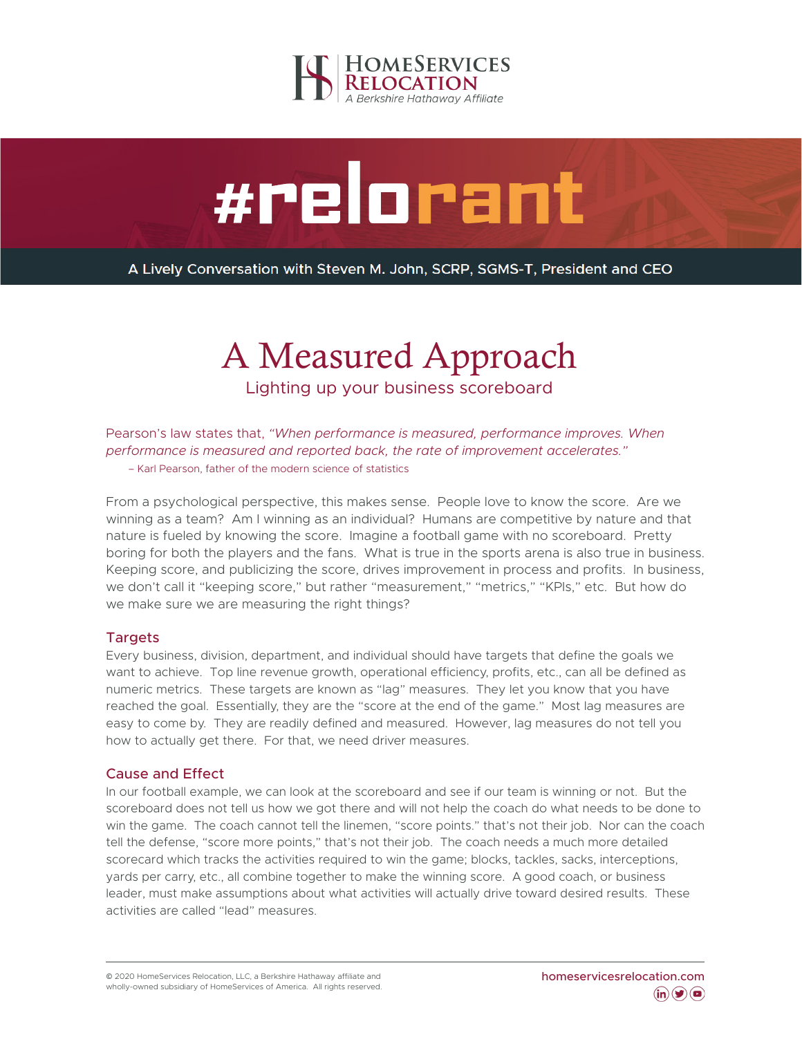

# #relorant

A Lively Conversation with Steven M. John, SCRP, SGMS-T, President and CEO

# A Measured Approach

Lighting up your business scoreboard

Pearson's law states that, *"When performance is measured, performance improves. When performance is measured and reported back, the rate of improvement accelerates."*  – Karl Pearson, father of the modern science of statistics

From a psychological perspective, this makes sense. People love to know the score. Are we winning as a team? Am I winning as an individual? Humans are competitive by nature and that nature is fueled by knowing the score. Imagine a football game with no scoreboard. Pretty boring for both the players and the fans. What is true in the sports arena is also true in business. Keeping score, and publicizing the score, drives improvement in process and profits. In business, we don't call it "keeping score," but rather "measurement," "metrics," "KPIs," etc. But how do we make sure we are measuring the right things?

## **Targets**

Every business, division, department, and individual should have targets that define the goals we want to achieve. Top line revenue growth, operational efficiency, profits, etc., can all be defined as numeric metrics. These targets are known as "lag" measures. They let you know that you have reached the goal. Essentially, they are the "score at the end of the game." Most lag measures are easy to come by. They are readily defined and measured. However, lag measures do not tell you how to actually get there. For that, we need driver measures.

## Cause and Effect

In our football example, we can look at the scoreboard and see if our team is winning or not. But the scoreboard does not tell us how we got there and will not help the coach do what needs to be done to win the game. The coach cannot tell the linemen, "score points." that's not their job. Nor can the coach tell the defense, "score more points," that's not their job. The coach needs a much more detailed scorecard which tracks the activities required to win the game; blocks, tackles, sacks, interceptions, yards per carry, etc., all combine together to make the winning score. A good coach, or business leader, must make assumptions about what activities will actually drive toward desired results. These activities are called "lead" measures.